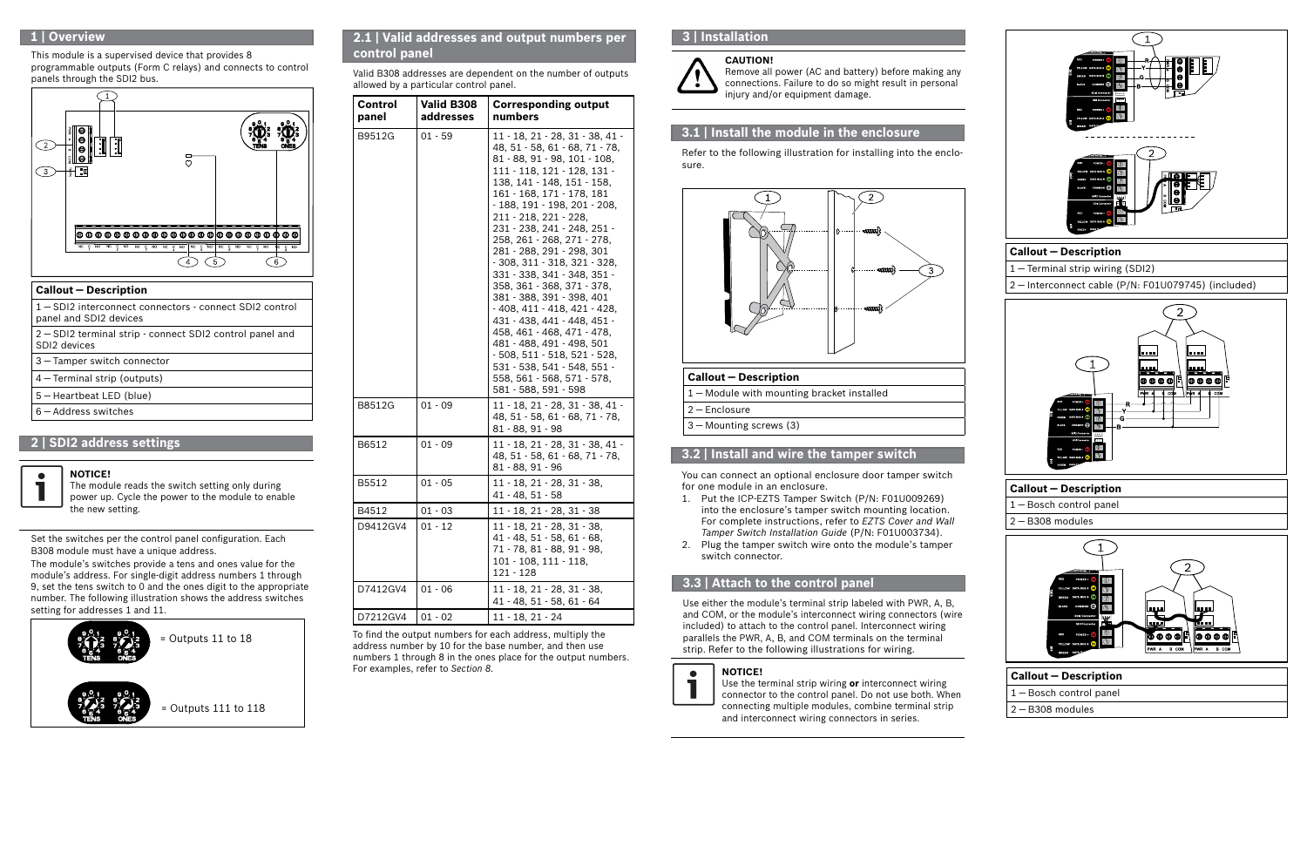# **1 | Overview**

## **2 | SDI2 address settings**

The module's switches provide a tens and ones value for the module's address. For single-digit address numbers 1 through 9, set the tens switch to 0 and the ones digit to the appropriate number. The following illustration shows the address switches setting for addresses 1 and 11.

Set the switches per the control panel configuration. Each B308 module must have a unique address.

#### **3.1 | Install the module in the enclosure**

Refer to the following illustration for installing into the enclosure.



## **3.2 | Install and wire the tamper switch**

You can connect an optional enclosure door tamper switch for one module in an enclosure.

- 1. Put the ICP-EZTS Tamper Switch (P/N: F01U009269) into the enclosure's tamper switch mounting location. For complete instructions, refer to *EZTS Cover and Wall Tamper Switch Installation Guide* (P/N: F01U003734).
- 2. Plug the tamper switch wire onto the module's tamper switch connector.

## **3.3 | Attach to the control panel**

Use either the module's terminal strip labeled with PWR, A, B, and COM, or the module's interconnect wiring connectors (wire included) to attach to the control panel. Interconnect wiring parallels the PWR, A, B, and COM terminals on the terminal strip. Refer to the following illustrations for wiring.



#### **NOTICE!**

Use the terminal strip wiring **or** interconnect wiring connector to the control panel. Do not use both. When connecting multiple modules, combine terminal strip and interconnect wiring connectors in series.

# **3 | Installation**

#### **Callout ― Description**

1 ― Module with mounting bracket installed

2 ― Enclosure

3 ― Mounting screws (3)



**CAUTION!** Remove all power (AC and battery) before making any connections. Failure to do so might result in personal injury and/or equipment damage.

#### **NOTICE!**

 $\bullet$ 

The module reads the switch setting only during power up. Cycle the power to the module to enable the new setting.



## **2.1 | Valid addresses and output numbers per control panel**

Valid B308 addresses are dependent on the number of outputs allowed by a particular control panel.

| Control<br>panel | Valid B308<br>addresses | <b>Corresponding output</b><br>numbers                                                                                                                                                                                                                                                                                                                                                                                                                                                                                                                                                                                                                                                                                                |  |  |  |  |
|------------------|-------------------------|---------------------------------------------------------------------------------------------------------------------------------------------------------------------------------------------------------------------------------------------------------------------------------------------------------------------------------------------------------------------------------------------------------------------------------------------------------------------------------------------------------------------------------------------------------------------------------------------------------------------------------------------------------------------------------------------------------------------------------------|--|--|--|--|
| B9512G           | $01 - 59$               | $11 - 18$ , $21 - 28$ , $31 - 38$ , $41 -$<br>48, 51 - 58, 61 - 68, 71 - 78,<br>81 - 88, 91 - 98, 101 - 108,<br>111 - 118, 121 - 128, 131 -<br>138, 141 - 148, 151 - 158,<br>161 - 168, 171 - 178, 181<br>- 188, 191 - 198, 201 - 208,<br>211 - 218, 221 - 228,<br>231 - 238, 241 - 248, 251 -<br>258, 261 - 268, 271 - 278,<br>281 - 288, 291 - 298, 301<br>$-308, 311 - 318, 321 - 328,$<br>331 - 338, 341 - 348, 351 -<br>358, 361 - 368, 371 - 378,<br>381 - 388, 391 - 398, 401<br>$-408, 411 - 418, 421 - 428,$<br>431 - 438, 441 - 448, 451 -<br>458, 461 - 468, 471 - 478,<br>481 - 488, 491 - 498, 501<br>$-508, 511 - 518, 521 - 528,$<br>531 - 538, 541 - 548, 551 -<br>558, 561 - 568, 571 - 578,<br>581 - 588, 591 - 598 |  |  |  |  |
| B8512G           | $01 - 09$               | $11 - 18$ , $21 - 28$ , $31 - 38$ , $41 -$<br>48, 51 - 58, 61 - 68, 71 - 78,<br>81 - 88, 91 - 98                                                                                                                                                                                                                                                                                                                                                                                                                                                                                                                                                                                                                                      |  |  |  |  |
| B6512            | $01 - 09$               | 11 - 18, 21 - 28, 31 - 38, 41 -<br>48, 51 - 58, 61 - 68, 71 - 78,<br>81 - 88, 91 - 96                                                                                                                                                                                                                                                                                                                                                                                                                                                                                                                                                                                                                                                 |  |  |  |  |
| B5512            | $01 - 05$               | 11 - 18, 21 - 28, 31 - 38,<br>$41 - 48, 51 - 58$                                                                                                                                                                                                                                                                                                                                                                                                                                                                                                                                                                                                                                                                                      |  |  |  |  |
| B4512            | $01 - 03$               | 11 - 18, 21 - 28, 31 - 38                                                                                                                                                                                                                                                                                                                                                                                                                                                                                                                                                                                                                                                                                                             |  |  |  |  |
| D9412GV4         | $01 - 12$               | 11 - 18, 21 - 28, 31 - 38,<br>41 - 48, 51 - 58, 61 - 68,<br>71 - 78, 81 - 88, 91 - 98,<br>101 - 108, 111 - 118,<br>$121 - 128$                                                                                                                                                                                                                                                                                                                                                                                                                                                                                                                                                                                                        |  |  |  |  |
| D7412GV4         | $01 - 06$               | 11 - 18, 21 - 28, 31 - 38,<br>41 - 48, 51 - 58, 61 - 64                                                                                                                                                                                                                                                                                                                                                                                                                                                                                                                                                                                                                                                                               |  |  |  |  |
| D7212GV4         | $01 - 02$               | $11 - 18, 21 - 24$                                                                                                                                                                                                                                                                                                                                                                                                                                                                                                                                                                                                                                                                                                                    |  |  |  |  |

To find the output numbers for each address, multiply the address number by 10 for the base number, and then use numbers 1 through 8 in the ones place for the output numbers. For examples, refer to *Section 8*.

This module is a supervised device that provides 8 programmable outputs (Form C relays) and connects to control panels through the SDI2 bus.



| <b>Callout - Description</b>                                                    |
|---------------------------------------------------------------------------------|
| 1-SDI2 interconnect connectors - connect SDI2 control<br>panel and SDI2 devices |
| 2 – SDI2 terminal strip - connect SDI2 control panel and<br>SDI2 devices        |
| 3 - Tamper switch connector                                                     |
| $4$ – Terminal strip (outputs)                                                  |
| 5 – Heartbeat LED (blue)                                                        |
| $6 -$ Address switches                                                          |